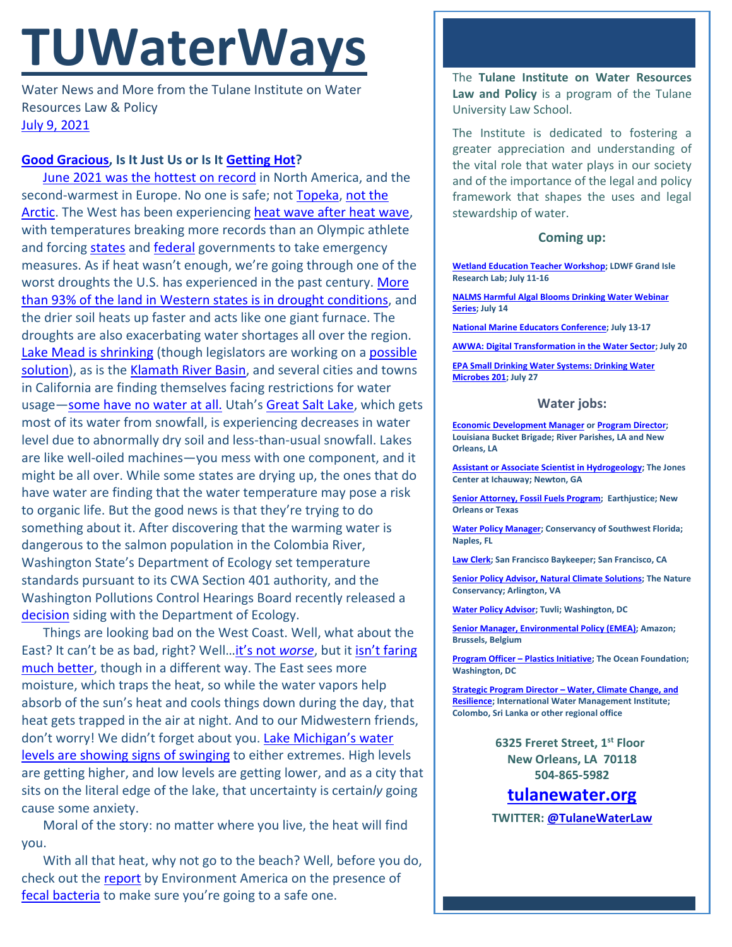# **TUWaterWays**

Water News and More from the Tulane Institute on Water Resources Law & Policy [July 9, 2021](https://thisdayinwaterhistory.wordpress.com/)

### **[Good Gracious,](https://www.youtube.com/watch?v=GeZZr_p6vB8) Is It Just Us or Is It [Getting Hot?](https://www.pinterest.com/pin/7670261840536795/)**

[June 2021 was the hottest on record](https://www.climate.gov/news-features/event-tracker/astounding-heat-obliterates-all-time-records-across-pacific-northwest) in North America, and the second-warmest in Europe. No one is safe; not [Topeka,](https://www.youtube.com/watch?v=L_IlsPypwZs) [not the](https://apnews.com/article/arctic-europe-finland-environment-and-nature-science-709fc77ba0328be657532bf1650044a0)  [Arctic.](https://apnews.com/article/arctic-europe-finland-environment-and-nature-science-709fc77ba0328be657532bf1650044a0) The West has been experiencing [heat wave after heat wave,](https://www.cnn.com/2021/07/06/weather/pacific-northwest-heat-wave/index.html) with temperatures breaking more records than an Olympic athlete and forcin[g states](https://www.union-bulletin.com/news/northwest/oregon-gov-brown-orders-emergency-heat-rules-as-state-heat-deaths-top-100/article_96a1c056-116d-56c1-b8cb-7448e9a59dbe.html) and [federal](https://www.nbcmontana.com/news/local/usda-declares-drought-emergency-in-10-montana-counties) governments to take emergency measures. As if heat wasn't enough, we're going through one of the worst droughts the U.S. has experienced in the past century. [More](https://www.eenews.net/climatewire/2021/07/07/stories/1063736561?utm_campaign=edition&utm_medium=email&utm_source=eenews%3Aclimatewire)  [than 93% of the land in Western states is in drought conditions,](https://www.eenews.net/climatewire/2021/07/07/stories/1063736561?utm_campaign=edition&utm_medium=email&utm_source=eenews%3Aclimatewire) and the drier soil heats up faster and acts like one giant furnace. The droughts are also exacerbating water shortages all over the region. [Lake Mead is shrinking](https://www.nbcnews.com/news/weather/drought-here-stay-western-u-s-how-will-states-adapt-n1270248) (though legislators are working on a [possible](https://www.wired.com/story/a-massive-water-recycling-proposal-could-help-ease-drought/)  [solution\)](https://www.wired.com/story/a-massive-water-recycling-proposal-could-help-ease-drought/), as is the [Klamath River Basin,](https://apnews.com/article/droughts-climate-change-science-government-and-politics-environment-and-nature-dd8ef971f3083006b6f314e24d530f27) and several cities and towns in California are finding themselves facing restrictions for water usage[—some have no water at all.](https://calmatters.org/environment/2021/06/california-water-shortage/) Utah's [Great Salt Lake,](https://www.theguardian.com/us-news/2021/jul/06/utah-great-salt-lake-shrinking-drought) which gets most of its water from snowfall, is experiencing decreases in water level due to abnormally dry soil and less-than-usual snowfall. Lakes are like well-oiled machines—you mess with one component, and it might be all over. While some states are drying up, the ones that do have water are finding that the water temperature may pose a risk to organic life. But the good news is that they're trying to do something about it. After discovering that the warming water is dangerous to the salmon population in the Colombia River, Washington State's Department of Ecology set temperature standards pursuant to its CWA Section 401 authority, and the Washington Pollutions Control Hearings Board recently released a [decision](https://www.columbiariverkeeper.org/sites/default/files/2021-06/P%2020-043c%20%28US%20Army%20Corps%29%20pending%20decision.pdf) siding with the Department of Ecology.

Things are looking bad on the West Coast. Well, what about the East? It can't be as bad, right? Well[…it's not](https://giphy.com/gifs/cbc-schitts-creek-YPOz6u66TorCo7rYV7) *worse*, but it [isn't faring](https://apnews.com/article/climate-change-science-cd3e6dcb4d2490ed8c2ddcd3c54f69ab)  [much better,](https://apnews.com/article/climate-change-science-cd3e6dcb4d2490ed8c2ddcd3c54f69ab) though in a different way. The East sees more moisture, which traps the heat, so while the water vapors help absorb of the sun's heat and cools things down during the day, that heat gets trapped in the air at night. And to our Midwestern friends, don't worry! We didn't forget about you. [Lake Michigan's water](https://www.nytimes.com/interactive/2021/07/07/climate/chicago-river-lake-michigan.html)  [levels are showing signs of swinging](https://www.nytimes.com/interactive/2021/07/07/climate/chicago-river-lake-michigan.html) to either extremes. High levels are getting higher, and low levels are getting lower, and as a city that sits on the literal edge of the lake, that uncertainty is certain*ly* going cause some anxiety.

Moral of the story: no matter where you live, the heat will find you.

With all that heat, why not go to the beach? Well, before you do, check out the [report](https://environmentamerica.org/feature/ame/safe-for-swimming_2021) by Environment America on the presence of [fecal bacteria](https://www.youtube.com/watch?v=zIFOTW93yis) to make sure you're going to a safe one.

The **Tulane Institute on Water Resources Law and Policy** is a program of the Tulane University Law School.

The Institute is dedicated to fostering a greater appreciation and understanding of the vital role that water plays in our society and of the importance of the legal and policy framework that shapes the uses and legal stewardship of water.

#### **Coming up:**

**[Wetland Education Teacher Workshop;](https://www.laseagrant.org/event/ldwf-wetshop/?instance_id=1086) LDWF Grand Isle Research Lab; July 11-16**

**[NALMS Harmful Algal Blooms Drinking Water Webinar](https://www.nalms.org/habs-drinking-water-webinar-series/)  [Series;](https://www.nalms.org/habs-drinking-water-webinar-series/) July 14**

**[National Marine Educators Conference;](https://www.marine-ed.org/conference/2021) July 13-17**

**[AWWA: Digital Transformation in the Water Sector;](https://www.awwa.org/Events-Education/Events-Calendar/mid/11357/OccuranceId/566?ctl=ViewEvent) July 20**

**[EPA Small Drinking Water Systems: Drinking Water](https://www.epa.gov/water-research/small-drinking-water-systems-webinar-series)  [Microbes 201;](https://www.epa.gov/water-research/small-drinking-water-systems-webinar-series) July 27**

#### **Water jobs:**

**[Economic Development Manager](https://labucketbrigade.org/now-hiring-economic-development-manager/) or [Program Director;](https://labucketbrigade.org/now-hiring-program-director/)  Louisiana Bucket Brigade; River Parishes, LA and New Orleans, LA**

**[Assistant or Associate Scientist in Hydrogeology;](https://www.jonesctr.org/wp-content/uploads/2021/06/Hydrogeologist-Scientist-PD.pdf) The Jones Center at Ichauway; Newton, GA**

**[Senior Attorney, Fossil Fuels Program;](https://earthjustice.org/about/jobs/40606/senior-attorney-fossil-fuels-program) Earthjustice; New Orleans or Texas**

**[Water Policy Manager;](https://conservancy.topdoghrrecruiting.com/job/272081/water-policy-manager) Conservancy of Southwest Florida; Naples, FL**

**[Law Clerk;](https://baykeeper.org/about-baykeeper/jobs-and-internships#clerk) San Francisco Baykeeper; San Francisco, CA**

**[Senior Policy Advisor, Natural Climate Solutions;](https://careers.nature.org/psc/tnccareers/APPLICANT/APPL/c/HRS_HRAM_FL.HRS_CG_SEARCH_FL.GBL?Page=HRS_APP_JBPST_FL&Action=U&FOCUS=Applicant&SiteId=1&JobOpeningId=49844&PostingSeq=1&PortalActualURL=https%3a%2f%2fcareers.nature.org%2fpsc%2ftnccareers%2fAPPLICANT%2fAPPL%2fc%2fHRS_HRAM_FL.HRS_CG_SEARCH_FL.GBL%3fPage%3dHRS_APP_JBPST_FL%26Action%3dU%26FOCUS%3dApplicant%26SiteId%3d1%26JobOpeningId%3d49844%26PostingSeq%3d1&PortalRegistryName=APPLICANT&PortalServletURI=https%3a%2f%2fcareers.nature.org%2fpsp%2ftnccareers%2f&PortalURI=https%3a%2f%2fcareers.nature.org%2fpsc%2ftnccareers%2f&PortalHostNode=APPL&NoCrumbs=yes&PortalKeyStruct=yes) The Nature Conservancy; Arlington, VA**

**[Water Policy Advisor;](https://akima.taleo.net/careersection/akimallc_cs/jobdetail.ftl?job=579018&src=SNS-10085) Tuvli; Washington, DC**

**[Senior Manager, Environmental Policy \(EMEA\);](https://amazon.jobs/en/jobs/1586735/senior-manager-environmental-policy-emea) Amazon; Brussels, Belgium**

**[Program Officer –](https://tof.bamboohr.com/jobs/view.php?id=28&source=aWQ9NA%3D%3D) Plastics Initiative; The Ocean Foundation; Washington, DC**

**Strategic Program Director – [Water, Climate Change, and](https://apply.workable.com/international-water-management-institute/j/A564D8F4B8/)  [Resilience;](https://apply.workable.com/international-water-management-institute/j/A564D8F4B8/) International Water Management Institute; Colombo, Sri Lanka or other regional office**

> **6325 Freret Street, 1st Floor New Orleans, LA 70118 504-865-5982**

## **tulanewater.org**

**TWITTER: [@TulaneWaterLaw](http://www.twitter.com/TulaneWaterLaw)**